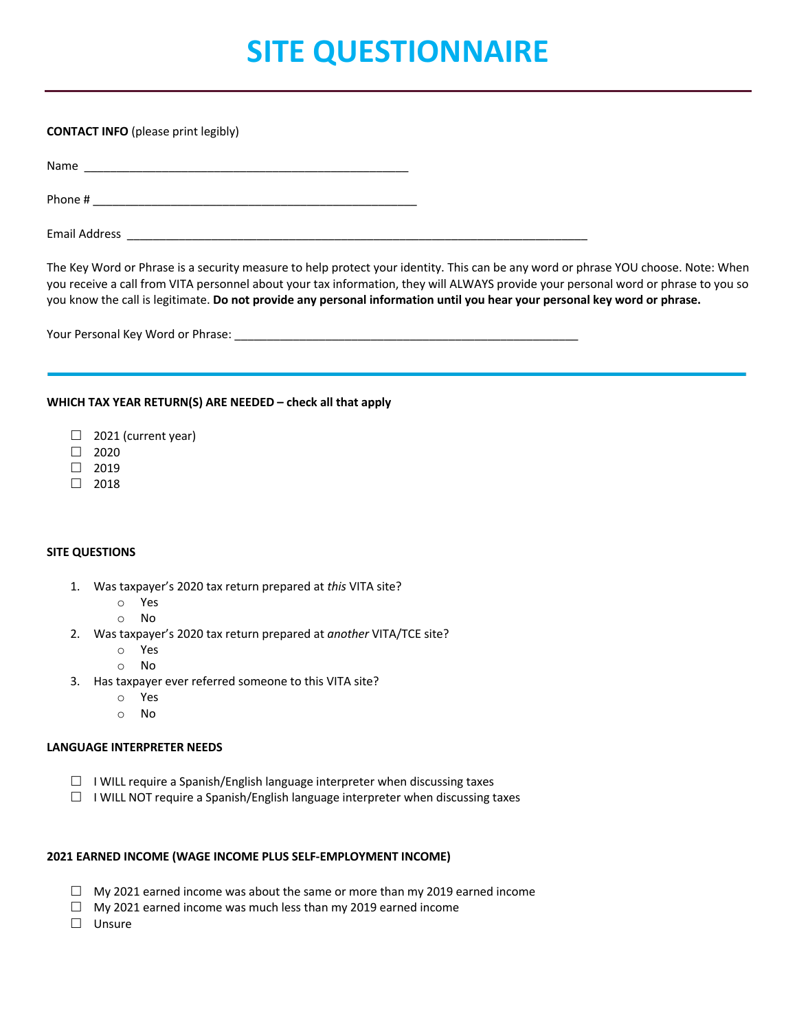# **SITE QUESTIONNAIRE**

### **CONTACT INFO** (please print legibly)

Name \_\_\_\_\_\_\_\_\_\_\_\_\_\_\_\_\_\_\_\_\_\_\_\_\_\_\_\_\_\_\_\_\_\_\_\_\_\_\_\_\_\_\_\_\_\_\_\_\_\_

Phone # \_\_\_\_\_\_\_\_\_\_\_\_\_\_\_\_\_\_\_\_\_\_\_\_\_\_\_\_\_\_\_\_\_\_\_\_\_\_\_\_\_\_\_\_\_\_\_\_\_\_

Email Address \_\_\_\_\_\_\_\_

The Key Word or Phrase is a security measure to help protect your identity. This can be any word or phrase YOU choose. Note: When you receive a call from VITA personnel about your tax information, they will ALWAYS provide your personal word or phrase to you so you know the call is legitimate. **Do not provide any personal information until you hear your personal key word or phrase.**

Your Personal Key Word or Phrase: \_\_\_\_\_\_\_\_\_\_\_\_\_\_\_\_\_\_\_\_\_\_\_\_\_\_\_\_\_\_\_\_\_\_\_\_\_\_\_\_\_\_\_\_\_\_\_\_\_\_\_\_\_

## **WHICH TAX YEAR RETURN(S) ARE NEEDED – check all that apply**

- $\Box$  2021 (current year)
- $\Box$  2020
- $\Box$  2019
- $\Box$  2018

# **SITE QUESTIONS**

- 1. Was taxpayer's 2020 tax return prepared at *this* VITA site?
	- o Yes
	- o No
- 2. Was taxpayer's 2020 tax return prepared at *another* VITA/TCE site?
	- o Yes
	- o No
- 3. Has taxpayer ever referred someone to this VITA site?
	- o Yes
	- o No

### **LANGUAGE INTERPRETER NEEDS**

- $\square$  I WILL require a Spanish/English language interpreter when discussing taxes
- $\Box$  I WILL NOT require a Spanish/English language interpreter when discussing taxes

### **2021 EARNED INCOME (WAGE INCOME PLUS SELF-EMPLOYMENT INCOME)**

- $\Box$  My 2021 earned income was about the same or more than my 2019 earned income
- $\Box$  My 2021 earned income was much less than my 2019 earned income
- $\square$  Unsure